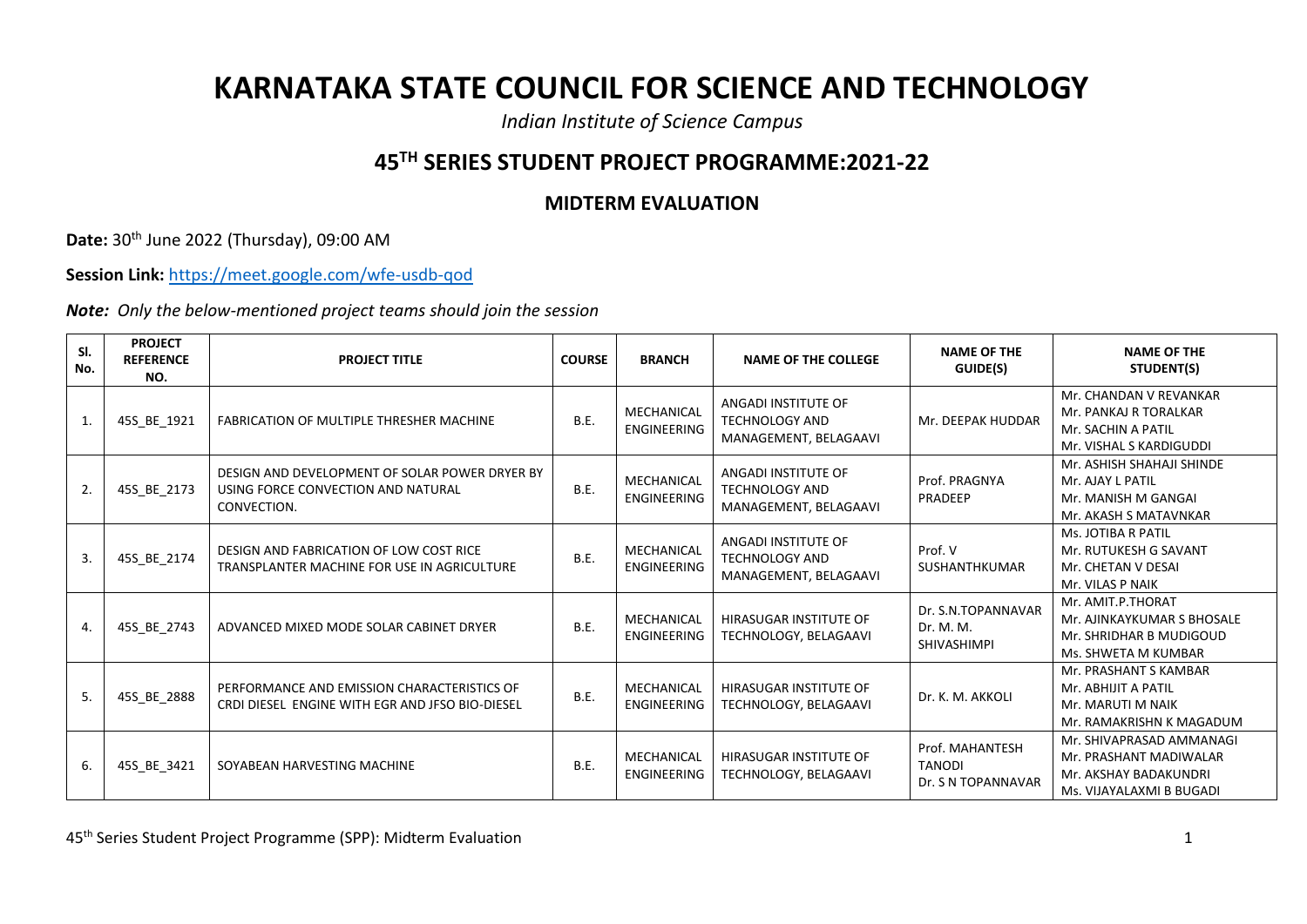## **KARNATAKA STATE COUNCIL FOR SCIENCE AND TECHNOLOGY**

*Indian Institute of Science Campus*

## **45TH SERIES STUDENT PROJECT PROGRAMME:2021-22**

## **MIDTERM EVALUATION**

**Date:** 30th June 2022 (Thursday), 09:00 AM

**Session Link:** <https://meet.google.com/wfe-usdb-qod>

*Note: Only the below-mentioned project teams should join the session*

| SI.<br>No. | <b>PROJECT</b><br><b>REFERENCE</b><br>NO. | <b>PROJECT TITLE</b>                                                                                | <b>COURSE</b> | <b>BRANCH</b>                    | <b>NAME OF THE COLLEGE</b>                                            | <b>NAME OF THE</b><br>GUIDE(S)                         | <b>NAME OF THE</b><br>STUDENT(S)                                                                        |
|------------|-------------------------------------------|-----------------------------------------------------------------------------------------------------|---------------|----------------------------------|-----------------------------------------------------------------------|--------------------------------------------------------|---------------------------------------------------------------------------------------------------------|
| 1.         | 45S_BE_1921                               | FABRICATION OF MULTIPLE THRESHER MACHINE                                                            | B.E.          | MECHANICAL<br><b>ENGINEERING</b> | ANGADI INSTITUTE OF<br><b>TECHNOLOGY AND</b><br>MANAGEMENT, BELAGAAVI | Mr. DEEPAK HUDDAR                                      | Mr. CHANDAN V REVANKAR<br>Mr. PANKAJ R TORALKAR<br>Mr. SACHIN A PATIL<br>Mr. VISHAL S KARDIGUDDI        |
| 2.         | 45S_BE_2173                               | DESIGN AND DEVELOPMENT OF SOLAR POWER DRYER BY<br>USING FORCE CONVECTION AND NATURAL<br>CONVECTION. | B.E.          | MECHANICAL<br><b>ENGINEERING</b> | ANGADI INSTITUTE OF<br><b>TECHNOLOGY AND</b><br>MANAGEMENT, BELAGAAVI | Prof. PRAGNYA<br>PRADEEP                               | Mr. ASHISH SHAHAJI SHINDE<br>Mr. AJAY L PATIL<br>Mr. MANISH M GANGAI<br>Mr. AKASH S MATAVNKAR           |
| 3.         | 45S_BE_2174                               | DESIGN AND FABRICATION OF LOW COST RICE<br>TRANSPLANTER MACHINE FOR USE IN AGRICULTURE              | B.E.          | MECHANICAL<br><b>ENGINEERING</b> | ANGADI INSTITUTE OF<br><b>TECHNOLOGY AND</b><br>MANAGEMENT, BELAGAAVI | Prof. V<br>SUSHANTHKUMAR                               | Ms. JOTIBA R PATIL<br>Mr. RUTUKESH G SAVANT<br>Mr. CHETAN V DESAI<br>Mr. VILAS P NAIK                   |
| 4.         | 45S BE 2743                               | ADVANCED MIXED MODE SOLAR CABINET DRYER                                                             | B.E.          | MECHANICAL<br>ENGINEERING        | HIRASUGAR INSTITUTE OF<br>TECHNOLOGY, BELAGAAVI                       | Dr. S.N.TOPANNAVAR<br>Dr. M. M.<br>SHIVASHIMPI         | Mr. AMIT.P.THORAT<br>Mr. AJINKAYKUMAR S BHOSALE<br>Mr. SHRIDHAR B MUDIGOUD<br>Ms. SHWETA M KUMBAR       |
| 5.         | 45S_BE_2888                               | PERFORMANCE AND EMISSION CHARACTERISTICS OF<br>CRDI DIESEL ENGINE WITH EGR AND JFSO BIO-DIESEL      | B.E.          | MECHANICAL<br>ENGINEERING        | HIRASUGAR INSTITUTE OF<br>TECHNOLOGY, BELAGAAVI                       | Dr. K. M. AKKOLI                                       | Mr. PRASHANT S KAMBAR<br>Mr. ABHIJIT A PATIL<br>Mr. MARUTI M NAIK<br>Mr. RAMAKRISHN K MAGADUM           |
| 6.         | 45S_BE_3421                               | SOYABEAN HARVESTING MACHINE                                                                         | B.E.          | MECHANICAL<br>ENGINEERING        | HIRASUGAR INSTITUTE OF<br>TECHNOLOGY, BELAGAAVI                       | Prof. MAHANTESH<br><b>TANODI</b><br>Dr. S N TOPANNAVAR | Mr. SHIVAPRASAD AMMANAGI<br>Mr. PRASHANT MADIWALAR<br>Mr. AKSHAY BADAKUNDRI<br>Ms. VIJAYALAXMI B BUGADI |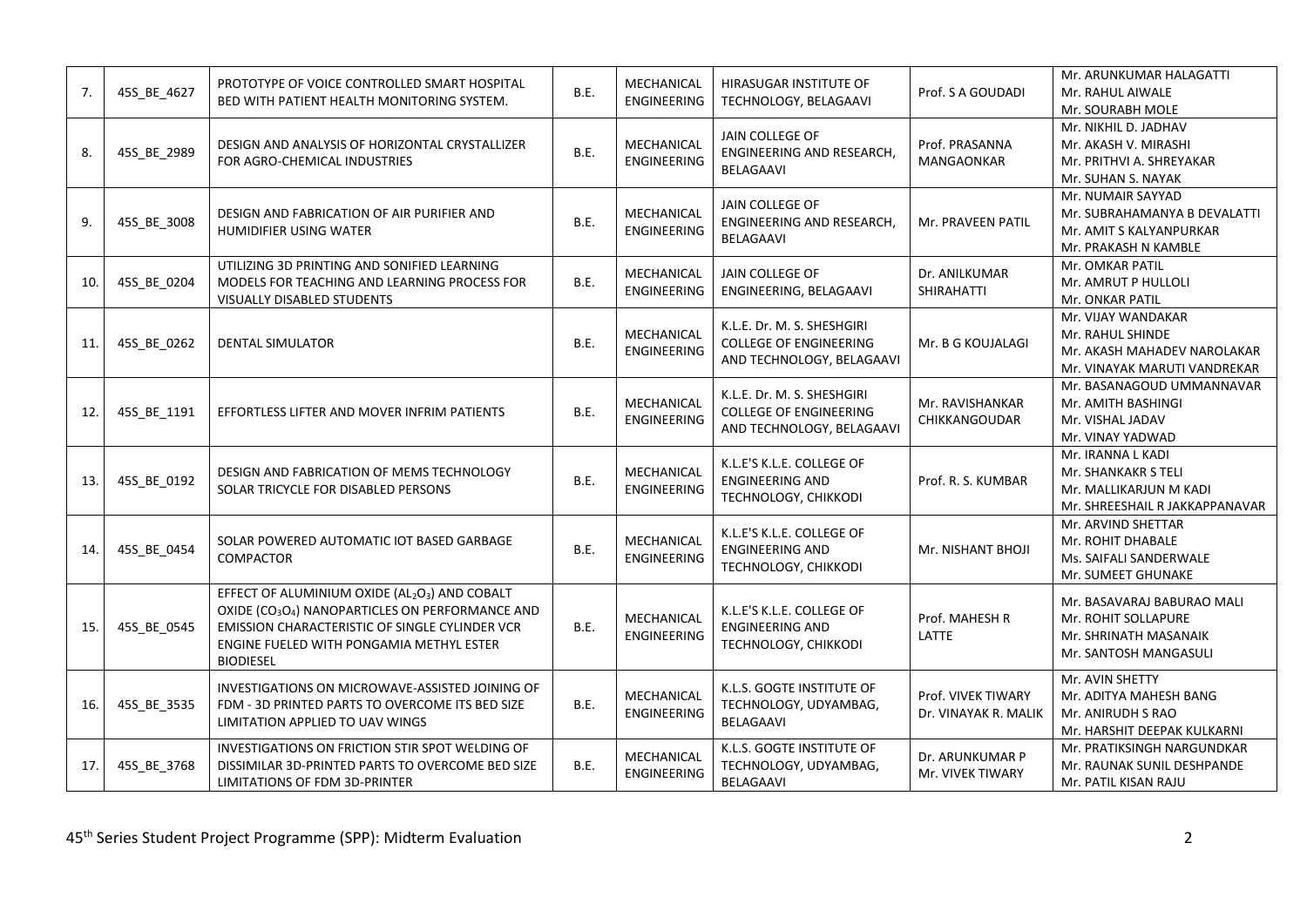| 7.  | 45S_BE_4627 | PROTOTYPE OF VOICE CONTROLLED SMART HOSPITAL<br>BED WITH PATIENT HEALTH MONITORING SYSTEM.                                                                                                                                                 | B.E. | MECHANICAL<br><b>ENGINEERING</b> | HIRASUGAR INSTITUTE OF<br>TECHNOLOGY, BELAGAAVI                                          | Prof. S A GOUDADI                          | Mr. ARUNKUMAR HALAGATTI<br>Mr. RAHUL AIWALE<br>Mr. SOURABH MOLE                                       |
|-----|-------------|--------------------------------------------------------------------------------------------------------------------------------------------------------------------------------------------------------------------------------------------|------|----------------------------------|------------------------------------------------------------------------------------------|--------------------------------------------|-------------------------------------------------------------------------------------------------------|
| 8.  | 45S_BE_2989 | DESIGN AND ANALYSIS OF HORIZONTAL CRYSTALLIZER<br>FOR AGRO-CHEMICAL INDUSTRIES                                                                                                                                                             | B.E. | MECHANICAL<br><b>ENGINEERING</b> | JAIN COLLEGE OF<br><b>ENGINEERING AND RESEARCH</b><br>BELAGAAVI                          | Prof. PRASANNA<br><b>MANGAONKAR</b>        | Mr. NIKHIL D. JADHAV<br>Mr. AKASH V. MIRASHI<br>Mr. PRITHVI A. SHREYAKAR<br>Mr. SUHAN S. NAYAK        |
| 9.  | 45S_BE_3008 | DESIGN AND FABRICATION OF AIR PURIFIER AND<br>HUMIDIFIER USING WATER                                                                                                                                                                       | B.E. | MECHANICAL<br>ENGINEERING        | JAIN COLLEGE OF<br><b>ENGINEERING AND RESEARCH</b><br>BELAGAAVI                          | Mr. PRAVEEN PATIL                          | Mr. NUMAIR SAYYAD<br>Mr. SUBRAHAMANYA B DEVALATTI<br>Mr. AMIT S KALYANPURKAR<br>Mr. PRAKASH N KAMBLE  |
| 10. | 45S_BE_0204 | UTILIZING 3D PRINTING AND SONIFIED LEARNING<br>MODELS FOR TEACHING AND LEARNING PROCESS FOR<br>VISUALLY DISABLED STUDENTS                                                                                                                  | B.E. | MECHANICAL<br>ENGINEERING        | JAIN COLLEGE OF<br>ENGINEERING, BELAGAAVI                                                | Dr. ANILKUMAR<br><b>SHIRAHATTI</b>         | Mr. OMKAR PATIL<br>Mr. AMRUT P HULLOLI<br>Mr. ONKAR PATIL                                             |
| 11  | 45S_BE_0262 | <b>DENTAL SIMULATOR</b>                                                                                                                                                                                                                    | B.E. | MECHANICAL<br><b>ENGINEERING</b> | K.L.E. Dr. M. S. SHESHGIRI<br><b>COLLEGE OF ENGINEERING</b><br>AND TECHNOLOGY, BELAGAAVI | Mr. B G KOUJALAGI                          | Mr. VIJAY WANDAKAR<br>Mr. RAHUL SHINDE<br>Mr. AKASH MAHADEV NAROLAKAR<br>Mr. VINAYAK MARUTI VANDREKAR |
| 12. | 45S BE 1191 | EFFORTLESS LIFTER AND MOVER INFRIM PATIENTS                                                                                                                                                                                                | B.E. | MECHANICAL<br>ENGINEERING        | K.L.E. Dr. M. S. SHESHGIRI<br><b>COLLEGE OF ENGINEERING</b><br>AND TECHNOLOGY, BELAGAAVI | Mr. RAVISHANKAR<br>CHIKKANGOUDAR           | Mr. BASANAGOUD UMMANNAVAR<br>Mr. AMITH BASHINGI<br>Mr. VISHAL JADAV<br>Mr. VINAY YADWAD               |
| 13. | 45S_BE_0192 | DESIGN AND FABRICATION OF MEMS TECHNOLOGY<br>SOLAR TRICYCLE FOR DISABLED PERSONS                                                                                                                                                           | B.E. | MECHANICAL<br><b>ENGINEERING</b> | K.L.E'S K.L.E. COLLEGE OF<br><b>ENGINEERING AND</b><br>TECHNOLOGY, CHIKKODI              | Prof. R. S. KUMBAR                         | Mr. IRANNA L KADI<br>Mr. SHANKAKR S TELI<br>Mr. MALLIKARJUN M KADI<br>Mr. SHREESHAIL R JAKKAPPANAVAR  |
| 14. | 45S_BE_0454 | SOLAR POWERED AUTOMATIC IOT BASED GARBAGE<br><b>COMPACTOR</b>                                                                                                                                                                              | B.E. | MECHANICAL<br><b>ENGINEERING</b> | K.L.E'S K.L.E. COLLEGE OF<br><b>ENGINEERING AND</b><br>TECHNOLOGY, CHIKKODI              | Mr. NISHANT BHOJI                          | Mr. ARVIND SHETTAR<br>Mr. ROHIT DHABALE<br>Ms. SAIFALI SANDERWALE<br>Mr. SUMEET GHUNAKE               |
| 15. | 45S_BE_0545 | EFFECT OF ALUMINIUM OXIDE (AL2O3) AND COBALT<br>OXIDE (CO <sub>3</sub> O <sub>4</sub> ) NANOPARTICLES ON PERFORMANCE AND<br>EMISSION CHARACTERISTIC OF SINGLE CYLINDER VCR<br>ENGINE FUELED WITH PONGAMIA METHYL ESTER<br><b>BIODIESEL</b> | B.E. | MECHANICAL<br><b>ENGINEERING</b> | K.L.E'S K.L.E. COLLEGE OF<br><b>ENGINEERING AND</b><br>TECHNOLOGY, CHIKKODI              | Prof. MAHESH R<br>LATTE                    | Mr. BASAVARAJ BABURAO MALI<br>Mr. ROHIT SOLLAPURE<br>Mr. SHRINATH MASANAIK<br>Mr. SANTOSH MANGASULI   |
| 16. | 45S BE 3535 | INVESTIGATIONS ON MICROWAVE-ASSISTED JOINING OF<br>FDM - 3D PRINTED PARTS TO OVERCOME ITS BED SIZE<br>LIMITATION APPLIED TO UAV WINGS                                                                                                      | B.E. | MECHANICAL<br><b>ENGINEERING</b> | K.L.S. GOGTE INSTITUTE OF<br>TECHNOLOGY, UDYAMBAG,<br>BELAGAAVI                          | Prof. VIVEK TIWARY<br>Dr. VINAYAK R. MALIK | Mr. AVIN SHETTY<br>Mr. ADITYA MAHESH BANG<br>Mr. ANIRUDH S RAO<br>Mr. HARSHIT DEEPAK KULKARNI         |
| 17. | 45S_BE_3768 | INVESTIGATIONS ON FRICTION STIR SPOT WELDING OF<br>DISSIMILAR 3D-PRINTED PARTS TO OVERCOME BED SIZE<br>LIMITATIONS OF FDM 3D-PRINTER                                                                                                       | B.E. | MECHANICAL<br><b>ENGINEERING</b> | K.L.S. GOGTE INSTITUTE OF<br>TECHNOLOGY, UDYAMBAG,<br>BELAGAAVI                          | Dr. ARUNKUMAR P<br>Mr. VIVEK TIWARY        | Mr. PRATIKSINGH NARGUNDKAR<br>Mr. RAUNAK SUNIL DESHPANDE<br>Mr. PATIL KISAN RAJU                      |